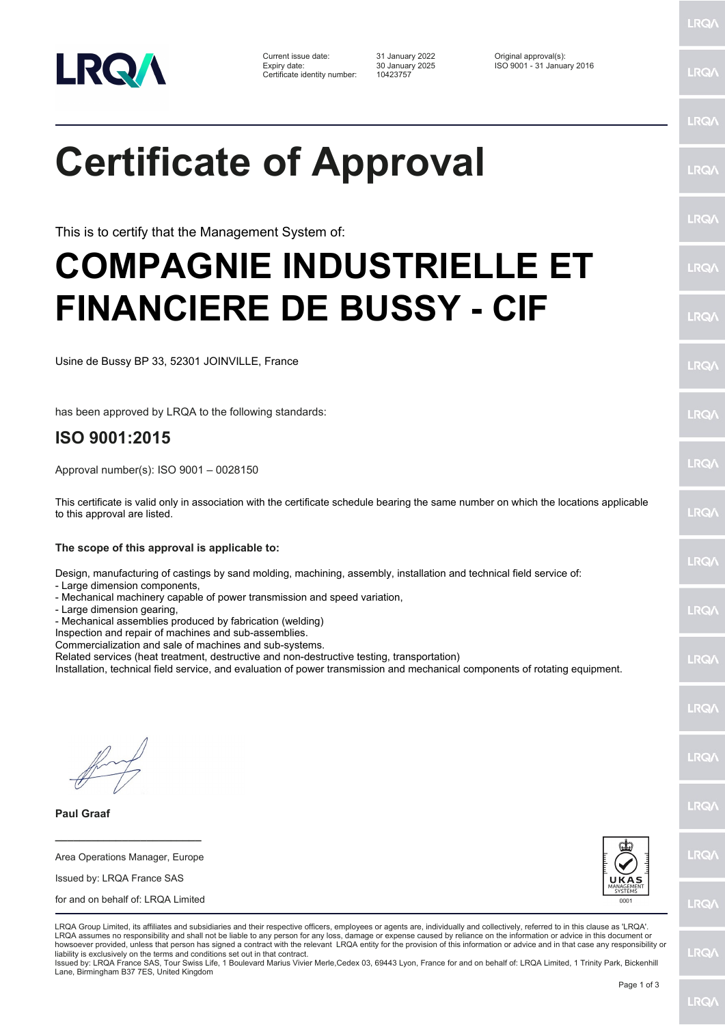

Current issue date: 31 January 2022 Original approval(s): Expiry date: 30 January 2025 ISO 9001 - 31 January 2016 Certificate identity number: 10423757

LRQ/

LRQ/

LRQ/

LRQ/

LRQ/

LRQ/

LRQ/

LRQ/

**IRQ** 

LRQ/

LRQ/

LRQ/

LRQ/

**IRQ** 

**LRO/** 

LRQ/

LRQ/

**LRQ/** 

LRQ/

## LRQ/

## **Certificate of Approval**

This is to certify that the Management System of:

## **COMPAGNIE INDUSTRIELLE ET FINANCIERE DE BUSSY - CIF**

Usine de Bussy BP 33, 52301 JOINVILLE, France

has been approved by LRQA to the following standards:

## **ISO 9001:2015**

Approval number(s): ISO 9001 – 0028150

This certificate is valid only in association with the certificate schedule bearing the same number on which the locations applicable to this approval are listed.

**The scope of this approval is applicable to:**

Design, manufacturing of castings by sand molding, machining, assembly, installation and technical field service of:

- Large dimension components,
- Mechanical machinery capable of power transmission and speed variation,
- Large dimension gearing,

- Mechanical assemblies produced by fabrication (welding)

Inspection and repair of machines and sub-assemblies.

Commercialization and sale of machines and sub-systems.

Related services (heat treatment, destructive and non-destructive testing, transportation)

Installation, technical field service, and evaluation of power transmission and mechanical components of rotating equipment.

**Paul Graaf**

Area Operations Manager, Europe Issued by: LRQA France SAS

**\_\_\_\_\_\_\_\_\_\_\_\_\_\_\_\_\_\_\_\_\_\_\_\_**

for and on behalf of: LRQA Limited



LRQA Group Limited, its affiliates and subsidiaries and their respective officers, employees or agents are, individually and collectively, referred to in this clause as 'LRQA'. LRQA assumes no responsibility and shall not be liable to any person for any loss, damage or expense caused by reliance on the information or advice in this document or howsoever provided, unless that person has signed a contract with the relevant LRQA entity for the provision of this information or advice and in that case any responsibility or liability is exclusively on the terms and conditions set out in that contract.

Issued by: LRQA France SAS, Tour Swiss Life, 1 Boulevard Marius Vivier Merle,Cedex 03, 69443 Lyon, France for and on behalf of: LRQA Limited, 1 Trinity Park, Bickenhill Lane, Birmingham B37 7ES, United Kingdom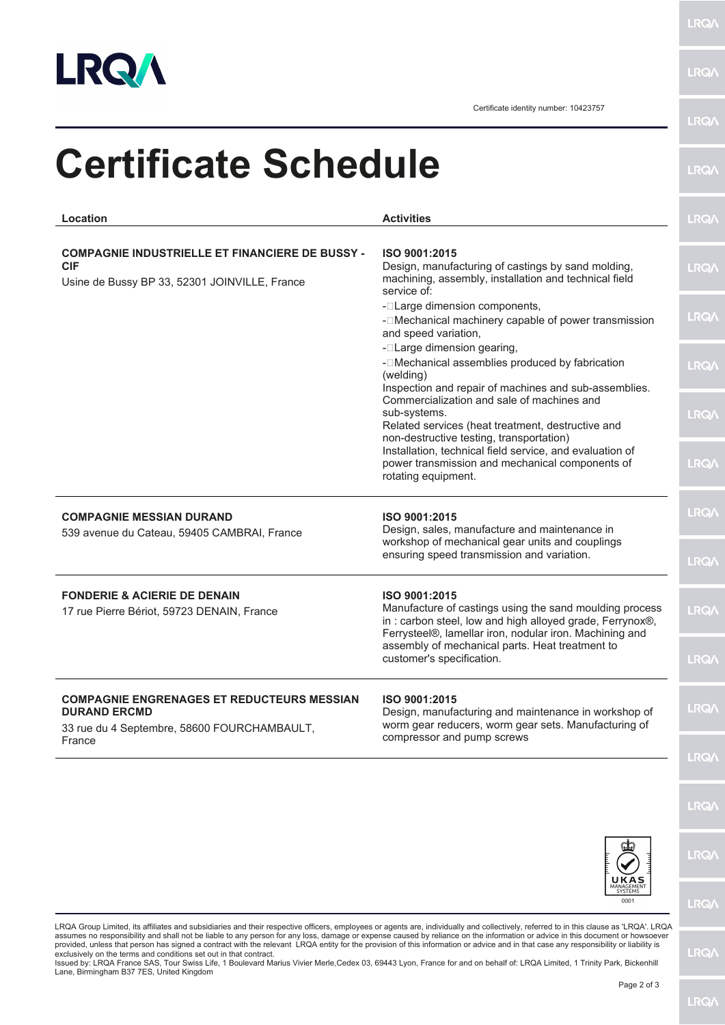

**LRQA** 

**LRQA** 

Certificate identity number: 10423757

| Location                                                                              | <b>Activities</b>                                                                                                                                                                               | LRQ/        |
|---------------------------------------------------------------------------------------|-------------------------------------------------------------------------------------------------------------------------------------------------------------------------------------------------|-------------|
| <b>COMPAGNIE INDUSTRIELLE ET FINANCIERE DE BUSSY -</b><br><b>CIF</b>                  | ISO 9001:2015<br>Design, manufacturing of castings by sand molding,                                                                                                                             | <b>LRQA</b> |
| Usine de Bussy BP 33, 52301 JOINVILLE, France                                         | machining, assembly, installation and technical field<br>service of:                                                                                                                            |             |
|                                                                                       | - <b>ILarge dimension components,</b><br>-   IMechanical machinery capable of power transmission<br>and speed variation,                                                                        | <b>LRQ/</b> |
|                                                                                       | - <b>ILarge dimension gearing,</b><br>- <sup>[</sup> Mechanical assemblies produced by fabrication<br>(welding)<br>Inspection and repair of machines and sub-assemblies.                        | <b>LRQA</b> |
|                                                                                       | Commercialization and sale of machines and<br>sub-systems.<br>Related services (heat treatment, destructive and                                                                                 | <b>LRQ/</b> |
|                                                                                       | non-destructive testing, transportation)<br>Installation, technical field service, and evaluation of<br>power transmission and mechanical components of<br>rotating equipment.                  | <b>LRQA</b> |
| <b>COMPAGNIE MESSIAN DURAND</b><br>539 avenue du Cateau, 59405 CAMBRAI, France        | ISO 9001:2015<br>Design, sales, manufacture and maintenance in                                                                                                                                  | <b>LRQ/</b> |
|                                                                                       | workshop of mechanical gear units and couplings<br>ensuring speed transmission and variation.                                                                                                   | <b>LRQA</b> |
| <b>FONDERIE &amp; ACIERIE DE DENAIN</b><br>17 rue Pierre Bériot, 59723 DENAIN, France | ISO 9001:2015<br>Manufacture of castings using the sand moulding process<br>in: carbon steel, low and high alloyed grade, Ferrynox®,<br>Ferrysteel®, lamellar iron, nodular iron. Machining and | <b>LRQ/</b> |
|                                                                                       | assembly of mechanical parts. Heat treatment to<br>customer's specification.                                                                                                                    | LRQ/        |
| <b>COMPAGNIE ENGRENAGES ET REDUCTEURS MESSIAN</b><br><b>DURAND ERCMD</b>              | ISO 9001:2015<br>Design, manufacturing and maintenance in workshop of                                                                                                                           | LRQ/        |
| 33 rue du 4 Septembre, 58600 FOURCHAMBAULT,<br>France                                 | worm gear reducers, worm gear sets. Manufacturing of<br>compressor and pump screws                                                                                                              | <b>LRQA</b> |
|                                                                                       |                                                                                                                                                                                                 | LRQ/        |
|                                                                                       |                                                                                                                                                                                                 | LRQ/        |
|                                                                                       | UKAS<br>SYSTEMS<br>0001                                                                                                                                                                         | LRQ/        |

exclusively on the terms and conditions set out in that contract.<br>Issued by: LRQA France SAS, Tour Swiss Life, 1 Boulevard Marius Vivier Merle,Cedex 03, 69443 Lyon, France for and on behalf of: LRQA Limited, 1 Trinity Park